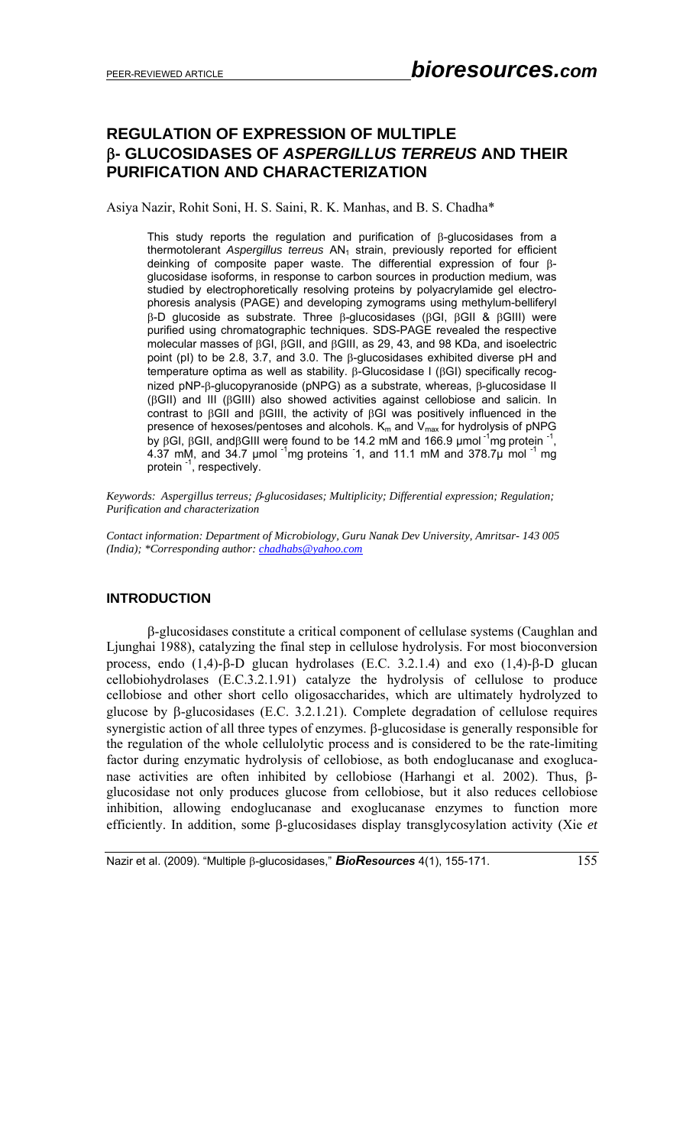# **REGULATION OF EXPRESSION OF MULTIPLE**  β**- GLUCOSIDASES OF** *ASPERGILLUS TERREUS* **AND THEIR PURIFICATION AND CHARACTERIZATION**

Asiya Nazir, Rohit Soni, H. S. Saini, R. K. Manhas, and B. S. Chadha\*

This study reports the regulation and purification of  $\beta$ -glucosidases from a thermotolerant *Aspergillus terreus* AN<sub>1</sub> strain, previously reported for efficient deinking of composite paper waste. The differential expression of four βglucosidase isoforms, in response to carbon sources in production medium, was studied by electrophoretically resolving proteins by polyacrylamide gel electrophoresis analysis (PAGE) and developing zymograms using methylum-belliferyl β-D glucoside as substrate. Three β-glucosidases (βGI, βGII & βGIII) were purified using chromatographic techniques. SDS-PAGE revealed the respective molecular masses of βGI, βGII, and βGIII, as 29, 43, and 98 KDa, and isoelectric point (pI) to be 2.8, 3.7, and 3.0. The β-glucosidases exhibited diverse pH and temperature optima as well as stability. β-Glucosidase I (βGI) specifically recognized pNP-β-glucopyranoside (pNPG) as a substrate, whereas, β-glucosidase II (βGII) and III (βGIII) also showed activities against cellobiose and salicin. In contrast to βGII and βGIII, the activity of βGI was positively influenced in the presence of hexoses/pentoses and alcohols.  $K_m$  and  $V_{max}$  for hydrolysis of pNPG by βGI, βGII, andβGIII were found to be 14.2 mM and 166.9 µmol<sup>-1</sup>mg protein<sup>-1</sup>, 4.37 mM, and 34.7 µmol  $\frac{1}{1}$ mg proteins 1, and 11.1 mM and 378.7µ mol  $\frac{1}{1}$  mg protein <sup>-1</sup>, respectively.

*Keywords: Aspergillus terreus;* β*-glucosidases; Multiplicity; Differential expression; Regulation; Purification and characterization* 

*Contact information: Department of Microbiology, Guru Nanak Dev University, Amritsar- 143 005 (India); \*Corresponding author: chadhabs@yahoo.com*

# **INTRODUCTION**

β-glucosidases constitute a critical component of cellulase systems (Caughlan and Ljunghai 1988), catalyzing the final step in cellulose hydrolysis. For most bioconversion process, endo  $(1,4)$ -β-D glucan hydrolases (E.C. 3.2.1.4) and exo  $(1,4)$ -β-D glucan cellobiohydrolases (E.C.3.2.1.91) catalyze the hydrolysis of cellulose to produce cellobiose and other short cello oligosaccharides, which are ultimately hydrolyzed to glucose by β-glucosidases (E.C. 3.2.1.21). Complete degradation of cellulose requires synergistic action of all three types of enzymes. β-glucosidase is generally responsible for the regulation of the whole cellulolytic process and is considered to be the rate-limiting factor during enzymatic hydrolysis of cellobiose, as both endoglucanase and exoglucanase activities are often inhibited by cellobiose (Harhangi et al. 2002). Thus, βglucosidase not only produces glucose from cellobiose, but it also reduces cellobiose inhibition, allowing endoglucanase and exoglucanase enzymes to function more efficiently. In addition, some β-glucosidases display transglycosylation activity (Xie *et*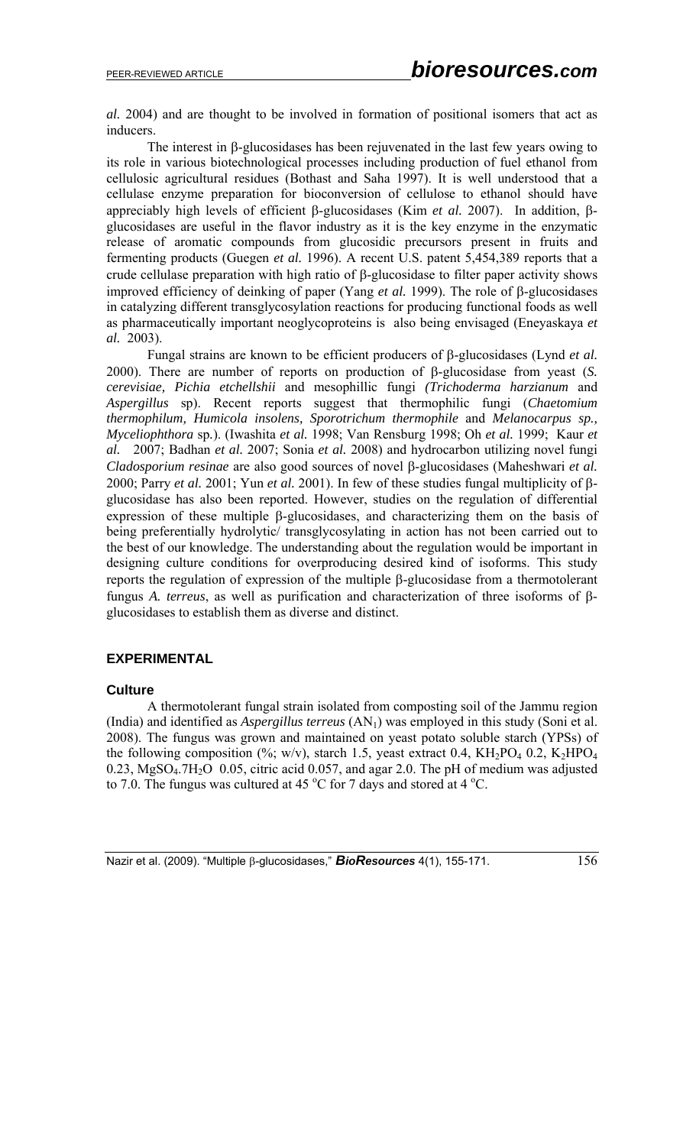*al.* 2004) and are thought to be involved in formation of positional isomers that act as inducers.

 The interest in β-glucosidases has been rejuvenated in the last few years owing to its role in various biotechnological processes including production of fuel ethanol from cellulosic agricultural residues (Bothast and Saha 1997). It is well understood that a cellulase enzyme preparation for bioconversion of cellulose to ethanol should have appreciably high levels of efficient β-glucosidases (Kim *et al.* 2007). In addition, βglucosidases are useful in the flavor industry as it is the key enzyme in the enzymatic release of aromatic compounds from glucosidic precursors present in fruits and fermenting products (Guegen *et al.* 1996). A recent U.S. patent 5,454,389 reports that a crude cellulase preparation with high ratio of β-glucosidase to filter paper activity shows improved efficiency of deinking of paper (Yang *et al.* 1999). The role of β-glucosidases in catalyzing different transglycosylation reactions for producing functional foods as well as pharmaceutically important neoglycoproteins is also being envisaged (Eneyaskaya *et al.* 2003).

Fungal strains are known to be efficient producers of β-glucosidases (Lynd *et al.* 2000). There are number of reports on production of β-glucosidase from yeast (*S. cerevisiae, Pichia etchellshii* and mesophillic fungi *(Trichoderma harzianum* and *Aspergillus* sp). Recent reports suggest that thermophilic fungi (*Chaetomium thermophilum, Humicola insolens, Sporotrichum thermophile* and *Melanocarpus sp., Myceliophthora* sp*.*). (Iwashita *et al.* 1998; Van Rensburg 1998; Oh *et al.* 1999; Kaur *et al.* 2007; Badhan *et al.* 2007; Sonia *et al.* 2008) and hydrocarbon utilizing novel fungi *Cladosporium resinae* are also good sources of novel β-glucosidases (Maheshwari *et al.* 2000; Parry *et al.* 2001; Yun *et al.* 2001). In few of these studies fungal multiplicity of βglucosidase has also been reported. However, studies on the regulation of differential expression of these multiple β-glucosidases, and characterizing them on the basis of being preferentially hydrolytic/ transglycosylating in action has not been carried out to the best of our knowledge. The understanding about the regulation would be important in designing culture conditions for overproducing desired kind of isoforms. This study reports the regulation of expression of the multiple β-glucosidase from a thermotolerant fungus *A. terreus*, as well as purification and characterization of three isoforms of βglucosidases to establish them as diverse and distinct.

## **EXPERIMENTAL**

### **Culture**

A thermotolerant fungal strain isolated from composting soil of the Jammu region (India) and identified as *Aspergillus terreus*  $(AN<sub>1</sub>)$  was employed in this study (Soni et al. 2008). The fungus was grown and maintained on yeast potato soluble starch (YPSs) of the following composition (%; w/v), starch 1.5, yeast extract 0.4,  $KH_2PO_4$  0.2,  $K_2HPO_4$ 0.23, MgSO<sub>4</sub>.7H<sub>2</sub>O 0.05, citric acid 0.057, and agar 2.0. The pH of medium was adjusted to 7.0. The fungus was cultured at 45  $\rm{^oC}$  for 7 days and stored at 4  $\rm{^oC}$ .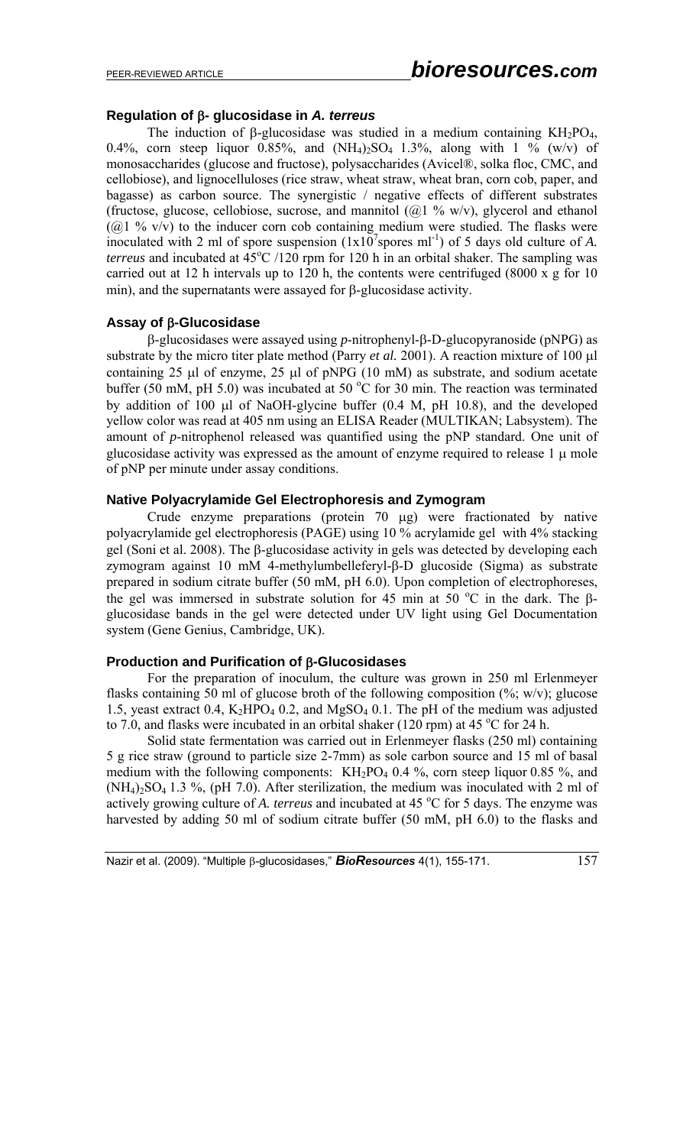# **Regulation of** β**- glucosidase in** *A. terreus*

The induction of  $\beta$ -glucosidase was studied in a medium containing KH<sub>2</sub>PO<sub>4</sub>, 0.4%, corn steep liquor 0.85%, and  $(NH_4)_2SO_4$  1.3%, along with 1 % (w/v) of monosaccharides (glucose and fructose), polysaccharides (Avicel®, solka floc, CMC, and cellobiose), and lignocelluloses (rice straw, wheat straw, wheat bran, corn cob, paper, and bagasse) as carbon source. The synergistic / negative effects of different substrates (fructose, glucose, cellobiose, sucrose, and mannitol  $(Q_1 \, \%)$  w/v), glycerol and ethanol ( $@1$  % v/v) to the inducer corn cob containing medium were studied. The flasks were inoculated with 2 ml of spore suspension  $(1x10^7$ spores ml<sup>-1</sup>) of 5 days old culture of *A*. *terreus* and incubated at  $45^{\circ}$ C /120 rpm for 120 h in an orbital shaker. The sampling was carried out at 12 h intervals up to 120 h, the contents were centrifuged (8000 x g for 10 min), and the supernatants were assayed for β-glucosidase activity.

# **Assay of** β**-Glucosidase**

β-glucosidases were assayed using *p*-nitrophenyl-β-D-glucopyranoside (pNPG) as substrate by the micro titer plate method (Parry *et al.* 2001). A reaction mixture of 100 μl containing 25 μl of enzyme, 25 μl of pNPG (10 mM) as substrate, and sodium acetate buffer (50 mM, pH 5.0) was incubated at 50  $^{\circ}$ C for 30 min. The reaction was terminated by addition of 100 μl of NaOH-glycine buffer (0.4 M, pH 10.8), and the developed yellow color was read at 405 nm using an ELISA Reader (MULTIKAN; Labsystem). The amount of *p*-nitrophenol released was quantified using the pNP standard. One unit of glucosidase activity was expressed as the amount of enzyme required to release 1 μ mole of pNP per minute under assay conditions.

### **Native Polyacrylamide Gel Electrophoresis and Zymogram**

 Crude enzyme preparations (protein 70 μg) were fractionated by native polyacrylamide gel electrophoresis (PAGE) using 10 % acrylamide gel with 4% stacking gel (Soni et al. 2008). The β-glucosidase activity in gels was detected by developing each zymogram against 10 mM 4-methylumbelleferyl-β-D glucoside (Sigma) as substrate prepared in sodium citrate buffer (50 mM, pH 6.0). Upon completion of electrophoreses, the gel was immersed in substrate solution for 45 min at 50 °C in the dark. The βglucosidase bands in the gel were detected under UV light using Gel Documentation system (Gene Genius, Cambridge, UK).

### **Production and Purification of** β**-Glucosidases**

For the preparation of inoculum, the culture was grown in 250 ml Erlenmeyer flasks containing 50 ml of glucose broth of the following composition  $(\%; w/v)$ ; glucose 1.5, yeast extract 0.4,  $K_2HPO_4$  0.2, and  $MgSO_4$  0.1. The pH of the medium was adjusted to 7.0, and flasks were incubated in an orbital shaker (120 rpm) at 45  $^{\circ}$ C for 24 h.

Solid state fermentation was carried out in Erlenmeyer flasks (250 ml) containing 5 g rice straw (ground to particle size 2-7mm) as sole carbon source and 15 ml of basal medium with the following components:  $KH_2PO_4$  0.4 %, corn steep liquor 0.85 %, and  $(NH_4)_2SO_4$  1.3 %, (pH 7.0). After sterilization, the medium was inoculated with 2 ml of actively growing culture of A. terreus and incubated at 45 °C for 5 days. The enzyme was harvested by adding 50 ml of sodium citrate buffer (50 mM, pH 6.0) to the flasks and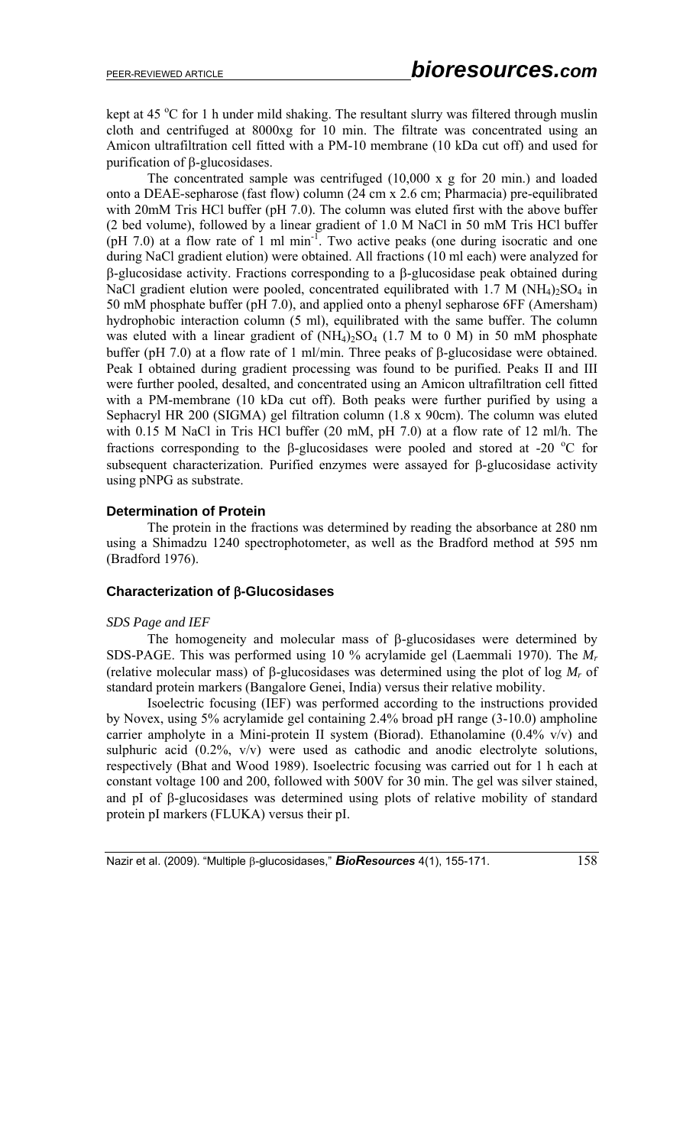kept at 45 °C for 1 h under mild shaking. The resultant slurry was filtered through muslin cloth and centrifuged at 8000xg for 10 min. The filtrate was concentrated using an Amicon ultrafiltration cell fitted with a PM-10 membrane (10 kDa cut off) and used for purification of β-glucosidases.

The concentrated sample was centrifuged (10,000 x g for 20 min.) and loaded onto a DEAE-sepharose (fast flow) column (24 cm x 2.6 cm; Pharmacia) pre-equilibrated with 20mM Tris HCl buffer (pH 7.0). The column was eluted first with the above buffer (2 bed volume), followed by a linear gradient of 1.0 M NaCl in 50 mM Tris HCl buffer (pH 7.0) at a flow rate of 1 ml min<sup>-1</sup>. Two active peaks (one during isocratic and one during NaCl gradient elution) were obtained. All fractions (10 ml each) were analyzed for β-glucosidase activity. Fractions corresponding to a β-glucosidase peak obtained during NaCl gradient elution were pooled, concentrated equilibrated with  $1.7 M (NH<sub>4</sub>)<sub>2</sub>SO<sub>4</sub>$  in 50 mM phosphate buffer (pH 7.0), and applied onto a phenyl sepharose 6FF (Amersham) hydrophobic interaction column (5 ml), equilibrated with the same buffer. The column was eluted with a linear gradient of  $(NH<sub>4</sub>)<sub>2</sub>SO<sub>4</sub> (1.7 M to 0 M)$  in 50 mM phosphate buffer (pH 7.0) at a flow rate of 1 ml/min. Three peaks of β-glucosidase were obtained. Peak I obtained during gradient processing was found to be purified. Peaks II and III were further pooled, desalted, and concentrated using an Amicon ultrafiltration cell fitted with a PM-membrane (10 kDa cut off). Both peaks were further purified by using a Sephacryl HR 200 (SIGMA) gel filtration column (1.8 x 90cm). The column was eluted with 0.15 M NaCl in Tris HCl buffer (20 mM, pH 7.0) at a flow rate of 12 ml/h. The fractions corresponding to the β-glucosidases were pooled and stored at -20  $\degree$ C for subsequent characterization. Purified enzymes were assayed for β-glucosidase activity using pNPG as substrate.

### **Determination of Protein**

The protein in the fractions was determined by reading the absorbance at 280 nm using a Shimadzu 1240 spectrophotometer, as well as the Bradford method at 595 nm (Bradford 1976).

# **Characterization of** β**-Glucosidases**

### *SDS Page and IEF*

The homogeneity and molecular mass of β-glucosidases were determined by SDS-PAGE. This was performed using 10 % acrylamide gel (Laemmali 1970). The *Mr* (relative molecular mass) of β-glucosidases was determined using the plot of log *Mr* of standard protein markers (Bangalore Genei, India) versus their relative mobility.

Isoelectric focusing (IEF) was performed according to the instructions provided by Novex, using 5% acrylamide gel containing 2.4% broad pH range (3-10.0) ampholine carrier ampholyte in a Mini-protein II system (Biorad). Ethanolamine (0.4% v/v) and sulphuric acid  $(0.2\% , v/v)$  were used as cathodic and anodic electrolyte solutions, respectively (Bhat and Wood 1989). Isoelectric focusing was carried out for 1 h each at constant voltage 100 and 200, followed with 500V for 30 min. The gel was silver stained, and pI of β-glucosidases was determined using plots of relative mobility of standard protein pI markers (FLUKA) versus their pI.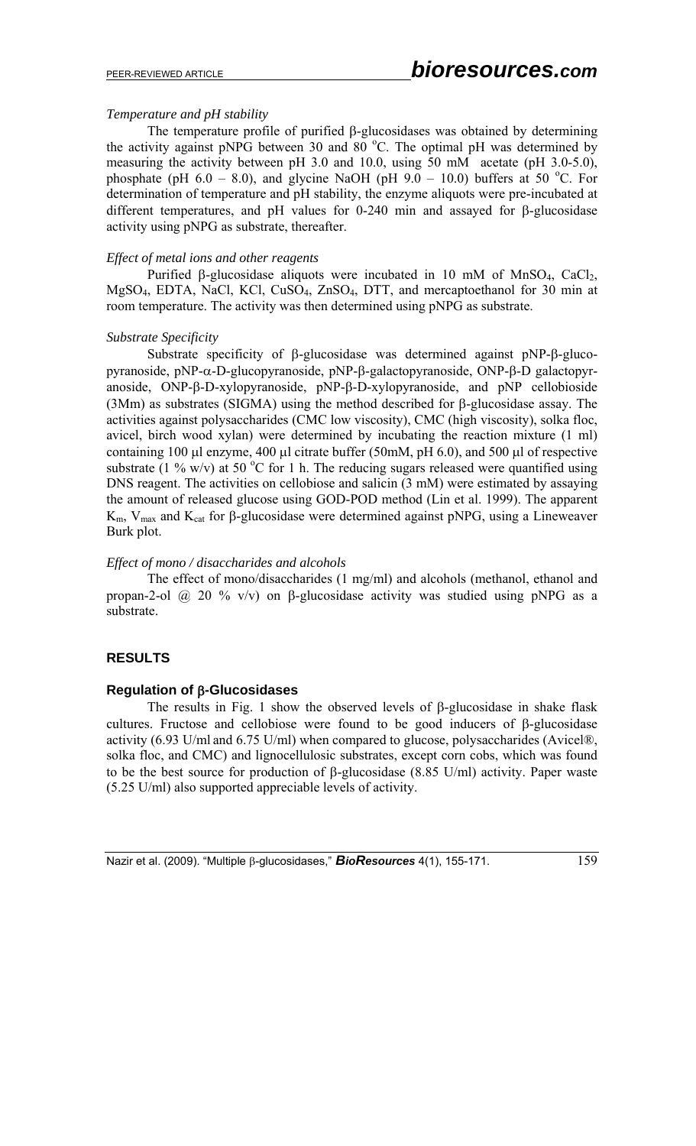# *Temperature and pH stability*

The temperature profile of purified β-glucosidases was obtained by determining the activity against pNPG between 30 and 80  $^{\circ}$ C. The optimal pH was determined by measuring the activity between pH 3.0 and 10.0, using 50 mM acetate (pH 3.0-5.0), phosphate (pH 6.0 – 8.0), and glycine NaOH (pH 9.0 – 10.0) buffers at 50 °C. For determination of temperature and pH stability, the enzyme aliquots were pre-incubated at different temperatures, and pH values for 0-240 min and assayed for β-glucosidase activity using pNPG as substrate, thereafter.

# *Effect of metal ions and other reagents*

Purified β-glucosidase aliquots were incubated in 10 mM of MnSO<sub>4</sub>, CaCl<sub>2</sub>, MgSO4, EDTA, NaCl, KCl, CuSO4, ZnSO4, DTT, and mercaptoethanol for 30 min at room temperature. The activity was then determined using pNPG as substrate.

# *Substrate Specificity*

Substrate specificity of β-glucosidase was determined against pNP-β-glucopyranoside, pNP-α-D-glucopyranoside, pNP-β-galactopyranoside, ONP-β-D galactopyranoside, ONP-β-D-xylopyranoside, pNP-β-D-xylopyranoside, and pNP cellobioside (3Mm) as substrates (SIGMA) using the method described for β-glucosidase assay. The activities against polysaccharides (CMC low viscosity), CMC (high viscosity), solka floc, avicel, birch wood xylan) were determined by incubating the reaction mixture (1 ml) containing 100 μl enzyme, 400 μl citrate buffer (50mM, pH 6.0), and 500 μl of respective substrate (1 % w/v) at 50 °C for 1 h. The reducing sugars released were quantified using DNS reagent. The activities on cellobiose and salicin (3 mM) were estimated by assaying the amount of released glucose using GOD-POD method (Lin et al. 1999). The apparent  $K_{m}$ ,  $V_{max}$  and  $K_{cat}$  for β-glucosidase were determined against pNPG, using a Lineweaver Burk plot.

# *Effect of mono / disaccharides and alcohols*

The effect of mono/disaccharides (1 mg/ml) and alcohols (methanol, ethanol and propan-2-ol @ 20 % v/v) on β-glucosidase activity was studied using pNPG as a substrate.

# **RESULTS**

# **Regulation of** β**-Glucosidases**

The results in Fig. 1 show the observed levels of β-glucosidase in shake flask cultures. Fructose and cellobiose were found to be good inducers of β-glucosidase activity (6.93 U/ml and 6.75 U/ml) when compared to glucose, polysaccharides (Avicel®, solka floc, and CMC) and lignocellulosic substrates, except corn cobs, which was found to be the best source for production of β-glucosidase (8.85 U/ml) activity. Paper waste (5.25 U/ml) also supported appreciable levels of activity.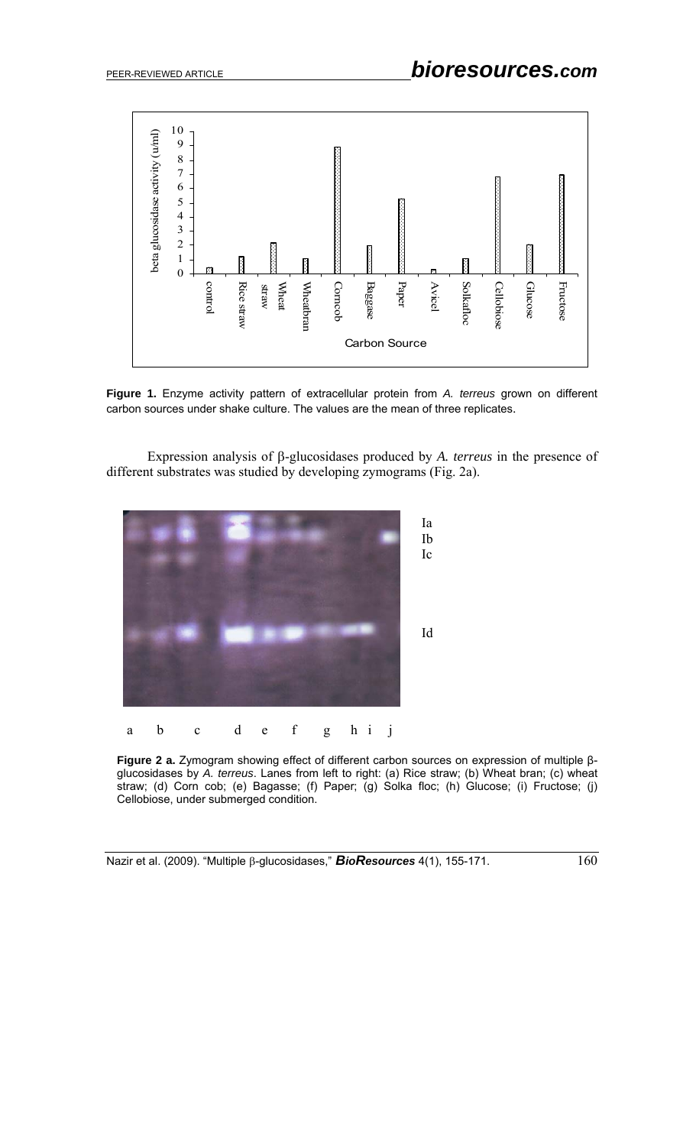

**Figure 1.** Enzyme activity pattern of extracellular protein from *A. terreus* grown on different carbon sources under shake culture. The values are the mean of three replicates.

Expression analysis of β-glucosidases produced by *A. terreus* in the presence of different substrates was studied by developing zymograms (Fig. 2a).



**Figure 2 a.** Zymogram showing effect of different carbon sources on expression of multiple βglucosidases by *A. terreus*. Lanes from left to right: (a) Rice straw; (b) Wheat bran; (c) wheat straw; (d) Corn cob; (e) Bagasse; (f) Paper; (g) Solka floc; (h) Glucose; (i) Fructose; (j) Cellobiose, under submerged condition.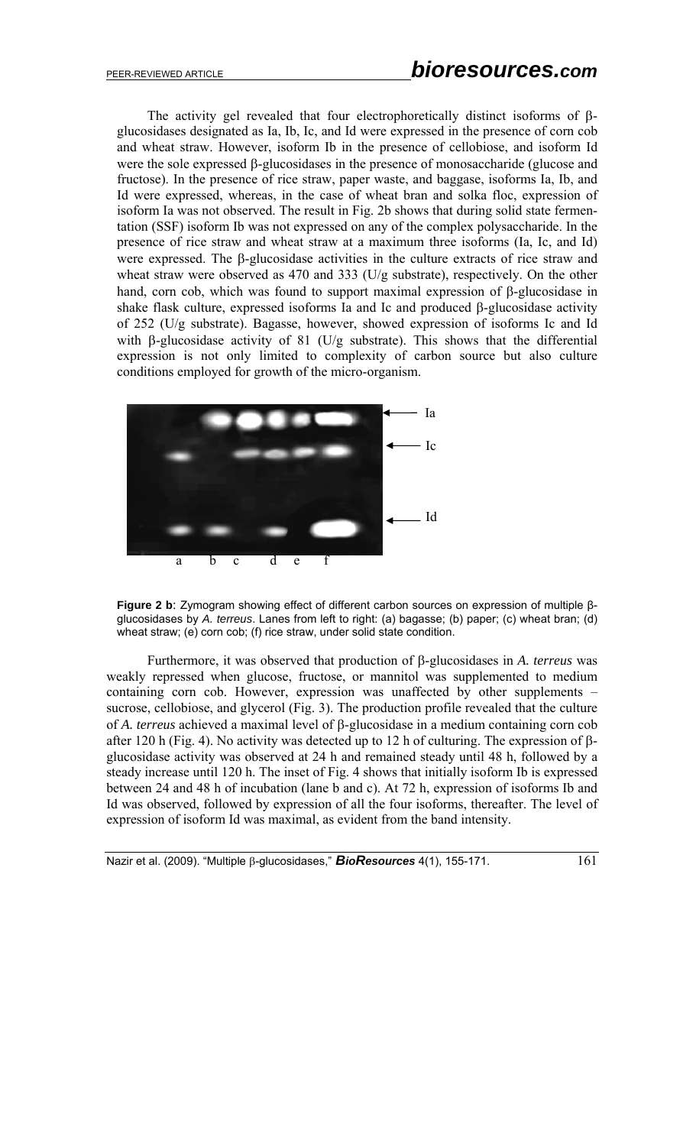The activity gel revealed that four electrophoretically distinct isoforms of βglucosidases designated as Ia, Ib, Ic, and Id were expressed in the presence of corn cob and wheat straw. However, isoform Ib in the presence of cellobiose, and isoform Id were the sole expressed β-glucosidases in the presence of monosaccharide (glucose and fructose). In the presence of rice straw, paper waste, and baggase, isoforms Ia, Ib, and Id were expressed, whereas, in the case of wheat bran and solka floc, expression of isoform Ia was not observed. The result in Fig. 2b shows that during solid state fermentation (SSF) isoform Ib was not expressed on any of the complex polysaccharide. In the presence of rice straw and wheat straw at a maximum three isoforms (Ia, Ic, and Id) were expressed. The β-glucosidase activities in the culture extracts of rice straw and wheat straw were observed as 470 and 333 (U/g substrate), respectively. On the other hand, corn cob, which was found to support maximal expression of β-glucosidase in shake flask culture, expressed isoforms Ia and Ic and produced β-glucosidase activity of 252 (U/g substrate). Bagasse, however, showed expression of isoforms Ic and Id with β-glucosidase activity of 81 (U/g substrate). This shows that the differential expression is not only limited to complexity of carbon source but also culture conditions employed for growth of the micro-organism.



**Figure 2 b**: Zymogram showing effect of different carbon sources on expression of multiple βglucosidases by *A. terreus*. Lanes from left to right: (a) bagasse; (b) paper; (c) wheat bran; (d) wheat straw; (e) corn cob; (f) rice straw, under solid state condition.

Furthermore, it was observed that production of β-glucosidases in *A. terreus* was weakly repressed when glucose, fructose, or mannitol was supplemented to medium containing corn cob. However, expression was unaffected by other supplements – sucrose, cellobiose, and glycerol (Fig. 3). The production profile revealed that the culture of *A. terreus* achieved a maximal level of β-glucosidase in a medium containing corn cob after 120 h (Fig. 4). No activity was detected up to 12 h of culturing. The expression of βglucosidase activity was observed at 24 h and remained steady until 48 h, followed by a steady increase until 120 h. The inset of Fig. 4 shows that initially isoform Ib is expressed between 24 and 48 h of incubation (lane b and c). At 72 h, expression of isoforms Ib and Id was observed, followed by expression of all the four isoforms, thereafter. The level of expression of isoform Id was maximal, as evident from the band intensity.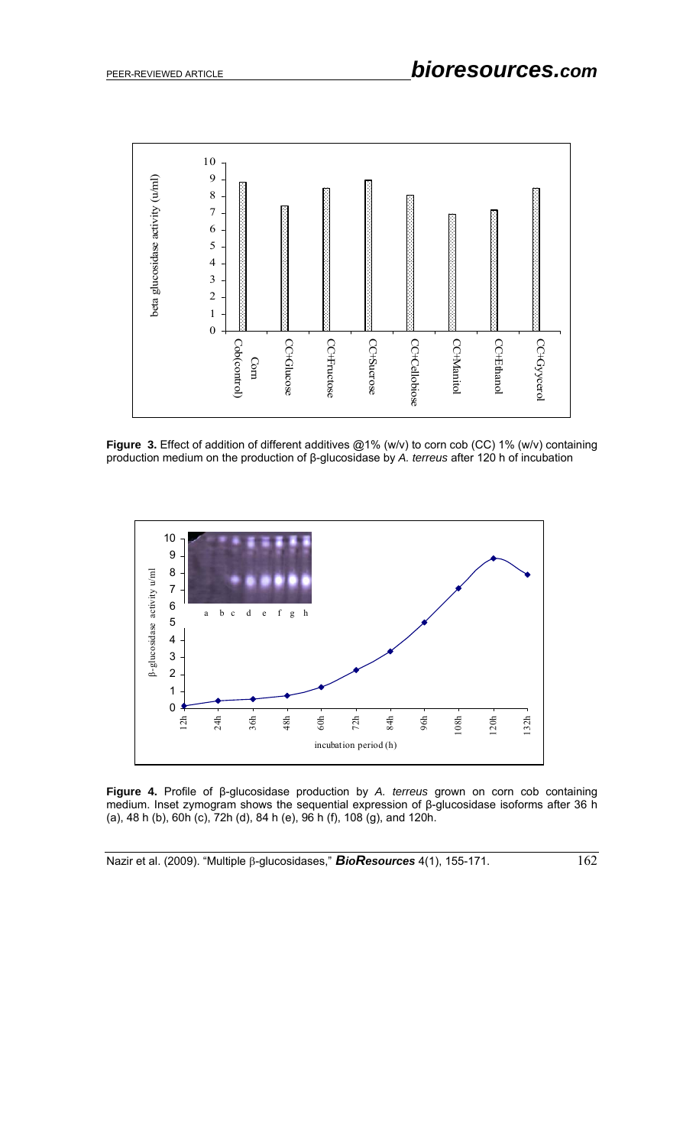

**Figure 3.** Effect of addition of different additives @1% (w/v) to corn cob (CC) 1% (w/v) containing production medium on the production of β-glucosidase by *A. terreus* after 120 h of incubation



**Figure 4.** Profile of β-glucosidase production by *A. terreus* grown on corn cob containing medium. Inset zymogram shows the sequential expression of β-glucosidase isoforms after 36 h (a), 48 h (b), 60h (c), 72h (d), 84 h (e), 96 h (f), 108 (g), and 120h.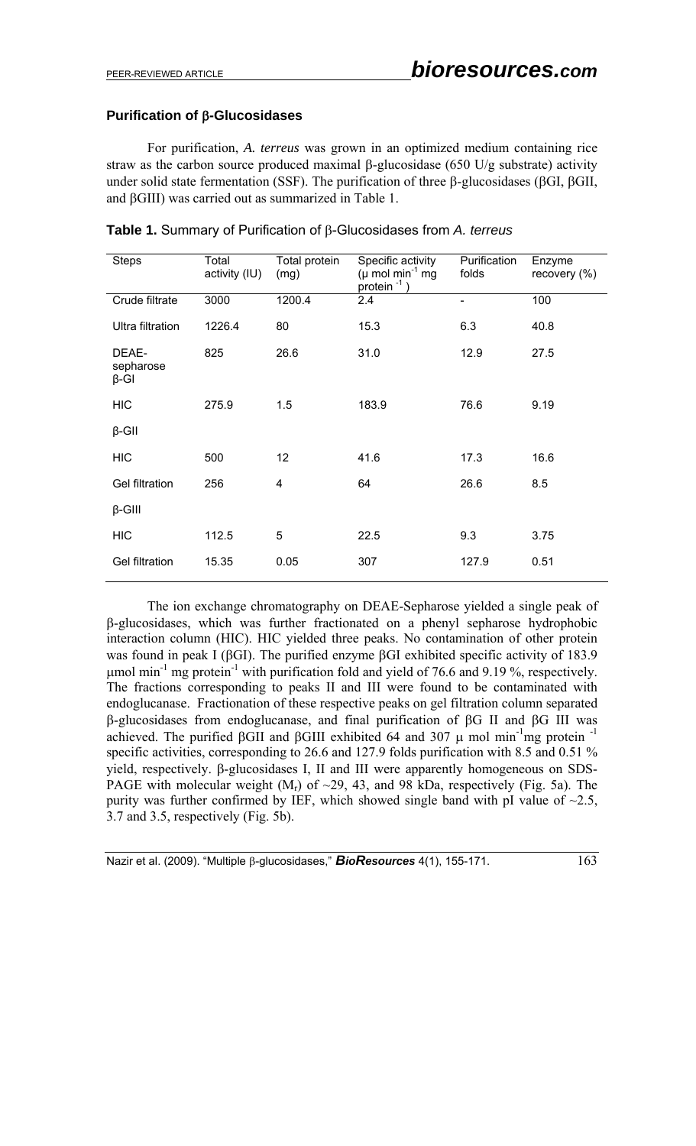# **Purification of** β**-Glucosidases**

For purification, *A. terreus* was grown in an optimized medium containing rice straw as the carbon source produced maximal β-glucosidase (650 U/g substrate) activity under solid state fermentation (SSF). The purification of three β-glucosidases (βGI, βGII, and βGIII) was carried out as summarized in Table 1.

| <b>Steps</b>                      | Total<br>activity (IU) | Total protein<br>(mg) | Specific activity<br>Purification<br>( $\mu$ mol min <sup>-1</sup> mg<br>folds<br>protein $^{-1}$ ) |                          | Enzyme<br>recovery (%) |
|-----------------------------------|------------------------|-----------------------|-----------------------------------------------------------------------------------------------------|--------------------------|------------------------|
| Crude filtrate                    | 3000                   | 1200.4                | 2.4                                                                                                 | $\overline{\phantom{0}}$ | 100                    |
| Ultra filtration                  | 1226.4                 | 80                    | 15.3                                                                                                | 6.3                      | 40.8                   |
| DEAE-<br>sepharose<br>$\beta$ -GI | 825                    | 26.6                  | 31.0                                                                                                | 12.9                     | 27.5                   |
| <b>HIC</b>                        | 275.9                  | 1.5                   | 183.9                                                                                               | 76.6                     | 9.19                   |
| $\beta$ -GII                      |                        |                       |                                                                                                     |                          |                        |
| <b>HIC</b>                        | 500                    | 12                    | 41.6                                                                                                | 17.3                     | 16.6                   |
| <b>Gel filtration</b>             | 256                    | 4                     | 64                                                                                                  | 26.6                     | 8.5                    |
| $\beta$ -GIII                     |                        |                       |                                                                                                     |                          |                        |
| <b>HIC</b>                        | 112.5                  | 5                     | 22.5                                                                                                | 9.3                      | 3.75                   |
| <b>Gel filtration</b>             | 15.35                  | 0.05                  | 307                                                                                                 | 127.9                    | 0.51                   |

**Table 1.** Summary of Purification of β-Glucosidases from *A. terreus* 

The ion exchange chromatography on DEAE-Sepharose yielded a single peak of β-glucosidases, which was further fractionated on a phenyl sepharose hydrophobic interaction column (HIC). HIC yielded three peaks. No contamination of other protein was found in peak I (βGI). The purified enzyme βGI exhibited specific activity of 183.9 μmol min<sup>-1</sup> mg protein<sup>-1</sup> with purification fold and yield of 76.6 and 9.19 %, respectively. The fractions corresponding to peaks II and III were found to be contaminated with endoglucanase. Fractionation of these respective peaks on gel filtration column separated β-glucosidases from endoglucanase, and final purification of βG II and βG III was achieved. The purified βGII and βGIII exhibited 64 and 307  $\mu$  mol min<sup>-1</sup>mg protein<sup>-1</sup> specific activities, corresponding to 26.6 and 127.9 folds purification with 8.5 and 0.51 % yield, respectively. β-glucosidases I, II and III were apparently homogeneous on SDS-PAGE with molecular weight  $(M_r)$  of  $\sim$ 29, 43, and 98 kDa, respectively (Fig. 5a). The purity was further confirmed by IEF, which showed single band with pI value of  $\sim$ 2.5, 3.7 and 3.5, respectively (Fig. 5b).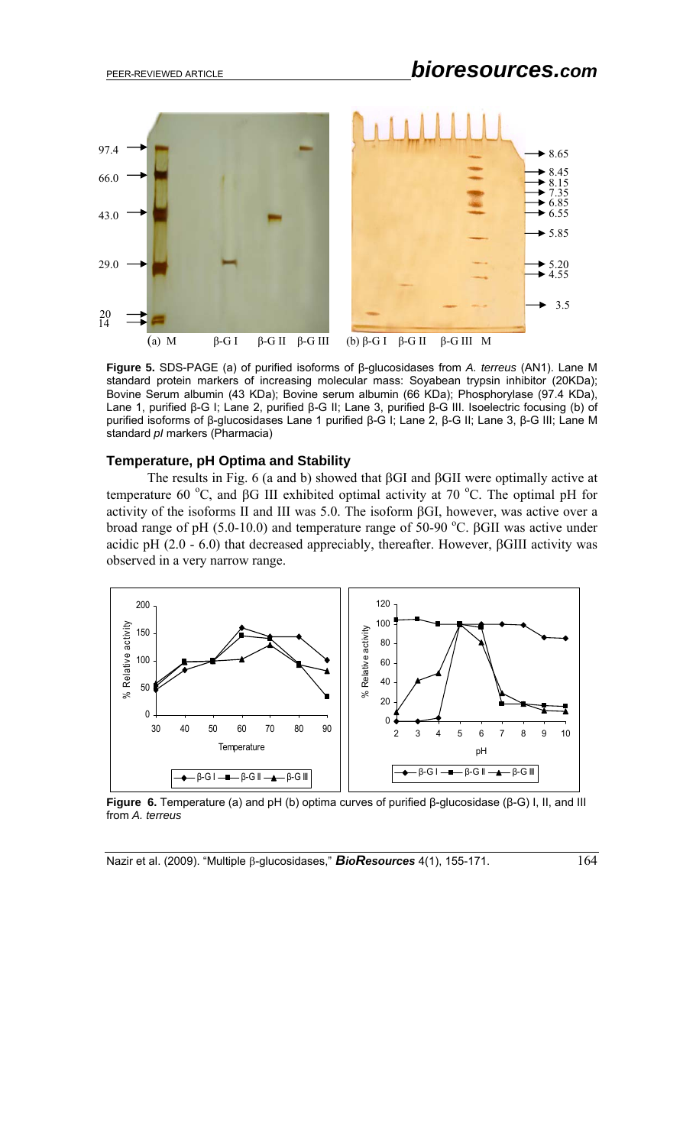

**Figure 5.** SDS-PAGE (a) of purified isoforms of β-glucosidases from *A. terreus* (AN1). Lane M standard protein markers of increasing molecular mass: Soyabean trypsin inhibitor (20KDa); Bovine Serum albumin (43 KDa); Bovine serum albumin (66 KDa); Phosphorylase (97.4 KDa), Lane 1, purified β-G I; Lane 2, purified β-G II; Lane 3, purified β-G III. Isoelectric focusing (b) of purified isoforms of β-glucosidases Lane 1 purified β-G I; Lane 2, β-G II; Lane 3, β-G III; Lane M standard *pI* markers (Pharmacia)

#### **Temperature, pH Optima and Stability**

The results in Fig. 6 (a and b) showed that βGI and βGII were optimally active at temperature 60 °C, and βG III exhibited optimal activity at 70 °C. The optimal pH for activity of the isoforms II and III was 5.0. The isoform βGI, however, was active over a broad range of pH (5.0-10.0) and temperature range of 50-90 °C. βGII was active under acidic pH (2.0 - 6.0) that decreased appreciably, thereafter. However, βGIII activity was observed in a very narrow range.



**Figure 6.** Temperature (a) and pH (b) optima curves of purified β-glucosidase (β-G) I, II, and III from *A. terreus*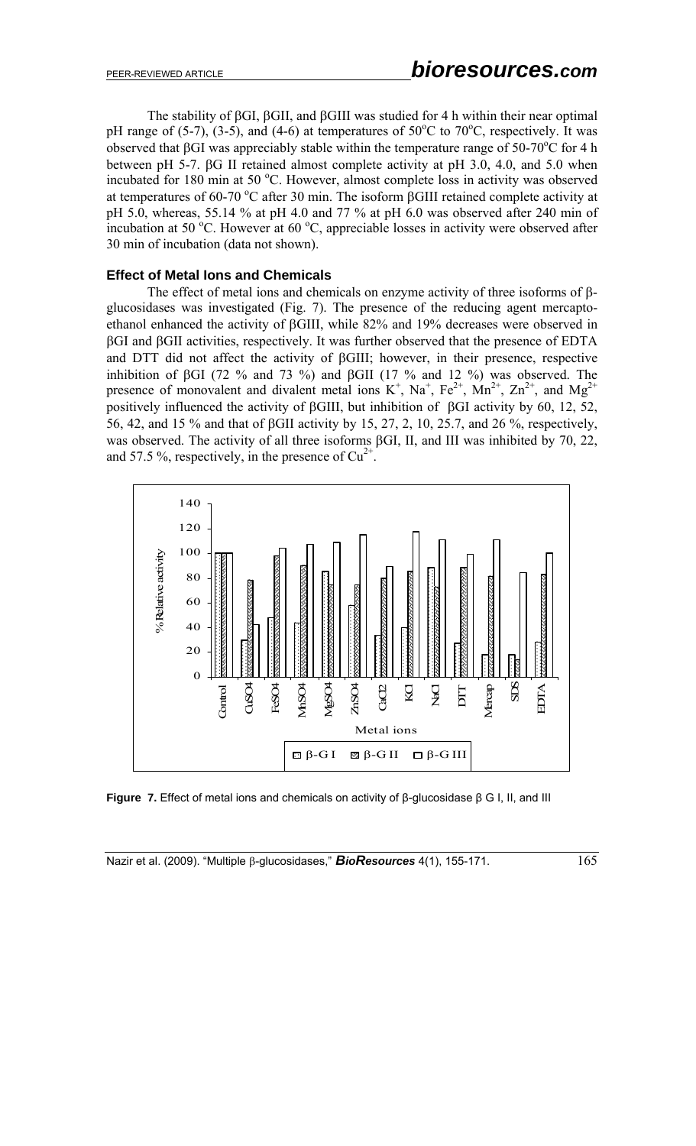The stability of βGI, βGII, and βGIII was studied for 4 h within their near optimal pH range of (5-7), (3-5), and (4-6) at temperatures of  $50^{\circ}$ C to  $70^{\circ}$ C, respectively. It was observed that βGI was appreciably stable within the temperature range of 50-70<sup>o</sup>C for 4 h between pH 5-7. βG II retained almost complete activity at pH 3.0, 4.0, and 5.0 when incubated for 180 min at 50 °C. However, almost complete loss in activity was observed at temperatures of 60-70 °C after 30 min. The isoform  $\beta$ GIII retained complete activity at pH 5.0, whereas, 55.14 % at pH 4.0 and 77 % at pH 6.0 was observed after 240 min of incubation at 50  $^{\circ}$ C. However at 60  $^{\circ}$ C, appreciable losses in activity were observed after 30 min of incubation (data not shown).

### **Effect of Metal Ions and Chemicals**

The effect of metal ions and chemicals on enzyme activity of three isoforms of βglucosidases was investigated (Fig. 7). The presence of the reducing agent mercaptoethanol enhanced the activity of βGIII, while 82% and 19% decreases were observed in βGI and βGII activities, respectively. It was further observed that the presence of EDTA and DTT did not affect the activity of βGIII; however, in their presence, respective inhibition of βGI (72 % and 73 %) and βGII (17 % and 12 %) was observed. The presence of monovalent and divalent metal ions  $K^+$ ,  $Na^+$ ,  $Fe^{2+}$ ,  $Mn^{2+}$ ,  $Zn^{2+}$ , and  $Mg^{2+}$ positively influenced the activity of βGIII, but inhibition of βGI activity by 60, 12, 52, 56, 42, and 15 % and that of βGII activity by 15, 27, 2, 10, 25.7, and 26 %, respectively, was observed. The activity of all three isoforms βGI, II, and III was inhibited by 70, 22, and 57.5 %, respectively, in the presence of  $Cu^{2+}$ .



**Figure 7.** Effect of metal ions and chemicals on activity of β-glucosidase β G I, II, and III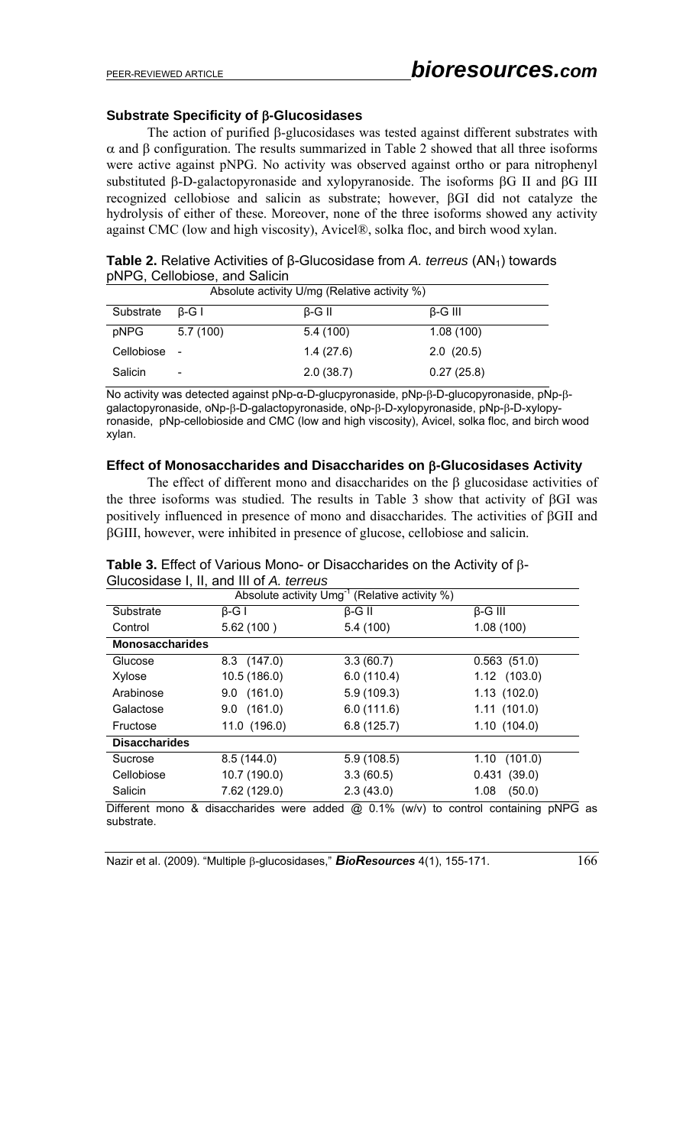# **Substrate Specificity of** β**-Glucosidases**

The action of purified β-glucosidases was tested against different substrates with α and β configuration. The results summarized in Table 2 showed that all three isoforms were active against pNPG. No activity was observed against ortho or para nitrophenyl substituted β-D-galactopyronaside and xylopyranoside. The isoforms βG II and βG III recognized cellobiose and salicin as substrate; however, βGI did not catalyze the hydrolysis of either of these. Moreover, none of the three isoforms showed any activity against CMC (low and high viscosity), Avicel®, solka floc, and birch wood xylan.

Table 2. Relative Activities of β-Glucosidase from *A. terreus* (AN<sub>1</sub>) towards pNPG, Cellobiose, and Salicin

| Absolute activity U/mg (Relative activity %) |                          |               |                |  |  |
|----------------------------------------------|--------------------------|---------------|----------------|--|--|
| Substrate                                    | $\beta$ -G I             | $\beta$ -G II | $\beta$ -G III |  |  |
| pNPG                                         | 5.7(100)                 | 5.4(100)      | 1.08(100)      |  |  |
| Cellobiose -                                 |                          | 1.4(27.6)     | 2.0(20.5)      |  |  |
| Salicin                                      | $\overline{\phantom{a}}$ | 2.0(38.7)     | 0.27(25.8)     |  |  |

No activity was detected against pNp-α-D-glucpyronaside, pNp-β-D-glucopyronaside, pNp-βgalactopyronaside, oNp-β-D-galactopyronaside, oNp-β-D-xylopyronaside, pNp-β-D-xylopyronaside, pNp-cellobioside and CMC (low and high viscosity), Avicel, solka floc, and birch wood xylan.

### **Effect of Monosaccharides and Disaccharides on** β**-Glucosidases Activity**

The effect of different mono and disaccharides on the  $\beta$  glucosidase activities of the three isoforms was studied. The results in Table 3 show that activity of βGI was positively influenced in presence of mono and disaccharides. The activities of βGII and βGIII, however, were inhibited in presence of glucose, cellobiose and salicin.

|                        |                                                  | Absolute activity $Umg^{-1}$ (Relative activity %) |                                     |
|------------------------|--------------------------------------------------|----------------------------------------------------|-------------------------------------|
| Substrate              | $\beta$ -G I                                     | $\beta$ -G II                                      | $\beta$ -G III                      |
| Control                | 5.62(100)                                        | 5.4(100)                                           | 1.08(100)                           |
| <b>Monosaccharides</b> |                                                  |                                                    |                                     |
| Glucose                | $8.3$ (147.0)                                    | 3.3(60.7)                                          | 0.563(51.0)                         |
| Xylose                 | 10.5 (186.0)                                     | 6.0(110.4)                                         | 1.12 (103.0)                        |
| Arabinose              | $9.0$ (161.0)                                    | 5.9(109.3)                                         | 1.13(102.0)                         |
| Galactose              | $9.0$ (161.0)                                    | 6.0(111.6)                                         | 1.11(101.0)                         |
| Fructose               | 11.0 (196.0)                                     | 6.8(125.7)                                         | 1.10(104.0)                         |
| <b>Disaccharides</b>   |                                                  |                                                    |                                     |
| Sucrose                | 8.5(144.0)                                       | 5.9(108.5)                                         | 1.10<br>(101.0)                     |
| Cellobiose             | 10.7 (190.0)                                     | 3.3(60.5)                                          | 0.431(39.0)                         |
| Salicin                | 7.62 (129.0)                                     | 2.3(43.0)                                          | (50.0)<br>1.08                      |
| substrate              | Different mono & disaccharides were added @ 0.1% |                                                    | (w/v) to control containing pNPG as |

### **Table 3.** Effect of Various Mono- or Disaccharides on the Activity of β-Glucosidase I, II, and III of *A. terreus*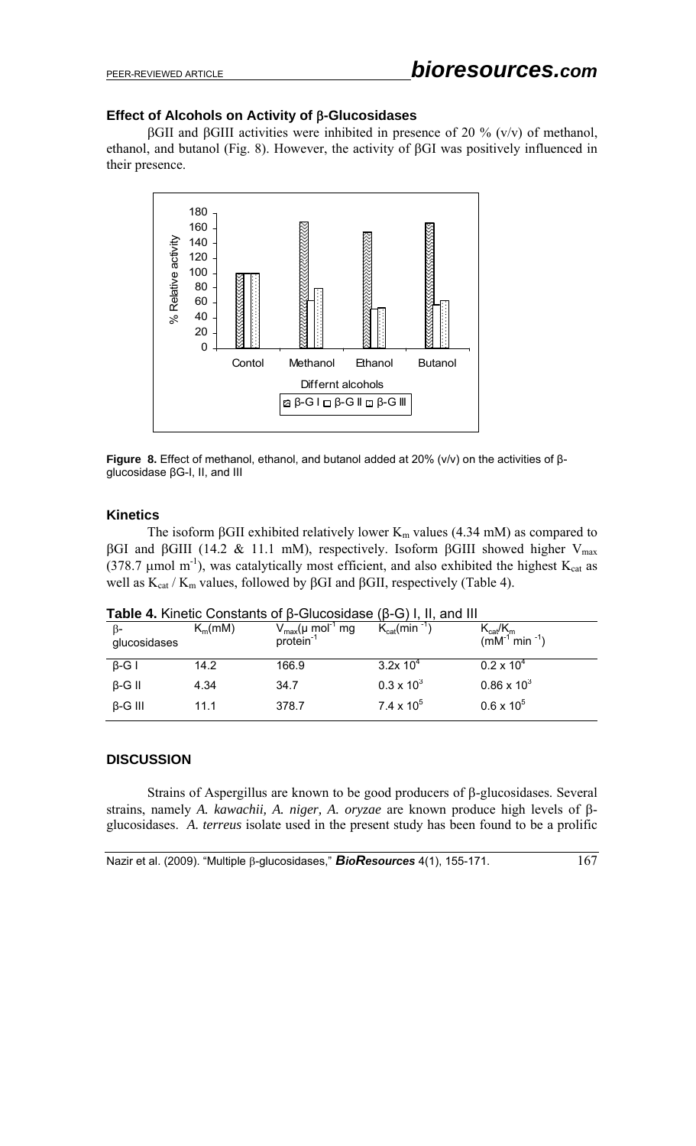# **Effect of Alcohols on Activity of** β**-Glucosidases**

βGII and βGIII activities were inhibited in presence of 20 % (v/v) of methanol, ethanol, and butanol (Fig. 8). However, the activity of βGI was positively influenced in their presence.



**Figure 8.** Effect of methanol, ethanol, and butanol added at 20% (v/v) on the activities of βglucosidase βG-I, II, and III

# **Kinetics**

The isoform  $\beta$ GII exhibited relatively lower K<sub>m</sub> values (4.34 mM) as compared to βGI and βGIII (14.2 & 11.1 mM), respectively. Isoform βGIII showed higher V<sub>max</sub> (378.7  $\mu$ mol m<sup>-1</sup>), was catalytically most efficient, and also exhibited the highest K<sub>cat</sub> as well as  $K_{cat}$  /  $K_m$  values, followed by βGI and βGII, respectively (Table 4).

| ß-<br>glucosidases | $K_m(mM)$ | $V_{\text{max}}(\mu \text{ mol}^{-1} \text{ mg})$ | $K_{cat}(min^{-1})$ | $K_{cat}/K_m$<br>(mM <sup>-1</sup> min <sup>-1</sup> ) |
|--------------------|-----------|---------------------------------------------------|---------------------|--------------------------------------------------------|
| $\beta$ -G I       | 14.2      | 166.9                                             | $3.2x 10^4$         | $0.2 \times 10^{4}$                                    |
| $\beta$ -G II      | 4.34      | 34.7                                              | $0.3 \times 10^{3}$ | $0.86 \times 10^{3}$                                   |
| $\beta$ -G III     | 11.1      | 378.7                                             | $7.4 \times 10^{5}$ | $0.6 \times 10^{5}$                                    |

**Table 4.** Kinetic Constants of β-Glucosidase (β-G) I, II, and III

# **DISCUSSION**

Strains of Aspergillus are known to be good producers of β-glucosidases. Several strains, namely *A. kawachii, A. niger, A. oryzae* are known produce high levels of βglucosidases. *A. terreus* isolate used in the present study has been found to be a prolific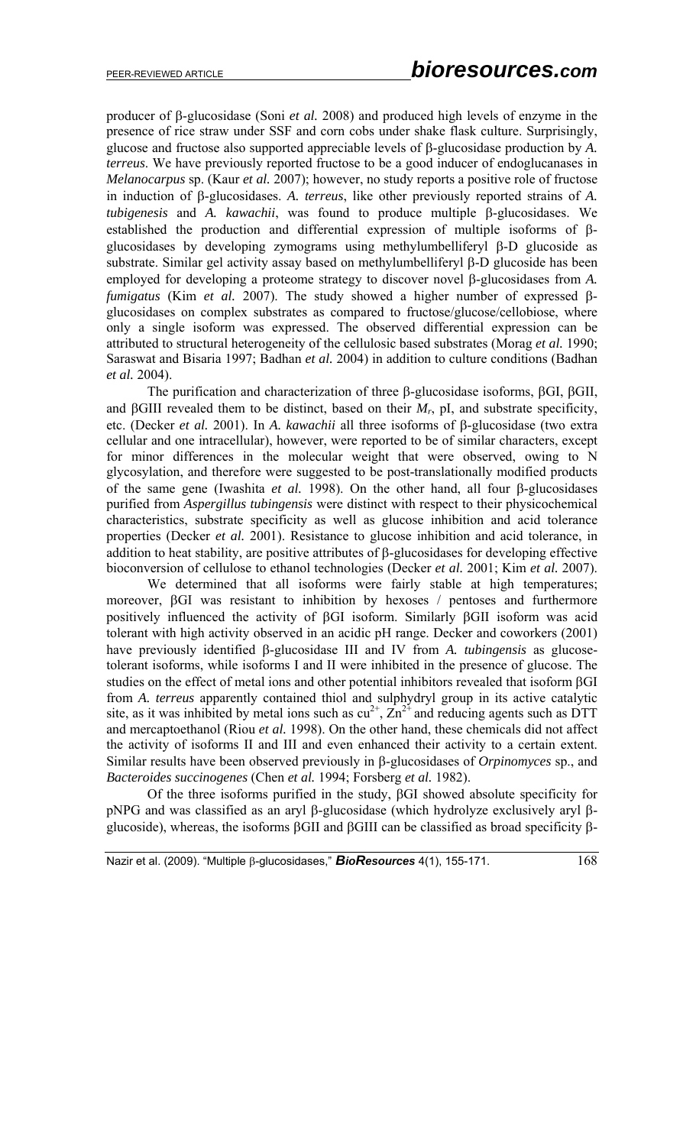producer of β-glucosidase (Soni *et al.* 2008) and produced high levels of enzyme in the presence of rice straw under SSF and corn cobs under shake flask culture. Surprisingly, glucose and fructose also supported appreciable levels of β-glucosidase production by *A. terreus*. We have previously reported fructose to be a good inducer of endoglucanases in *Melanocarpus* sp. (Kaur *et al.* 2007); however, no study reports a positive role of fructose in induction of β-glucosidases. *A. terreus*, like other previously reported strains of *A. tubigenesis* and *A. kawachii*, was found to produce multiple β-glucosidases. We established the production and differential expression of multiple isoforms of βglucosidases by developing zymograms using methylumbelliferyl β-D glucoside as substrate. Similar gel activity assay based on methylumbelliferyl β-D glucoside has been employed for developing a proteome strategy to discover novel β-glucosidases from *A. fumigatus* (Kim *et al.* 2007). The study showed a higher number of expressed βglucosidases on complex substrates as compared to fructose/glucose/cellobiose, where only a single isoform was expressed. The observed differential expression can be attributed to structural heterogeneity of the cellulosic based substrates (Morag *et al.* 1990; Saraswat and Bisaria 1997; Badhan *et al.* 2004) in addition to culture conditions (Badhan *et al.* 2004).

The purification and characterization of three β-glucosidase isoforms, βGI, βGII, and  $\beta$ GIII revealed them to be distinct, based on their  $M_r$ , pI, and substrate specificity, etc. (Decker *et al.* 2001). In *A. kawachii* all three isoforms of β-glucosidase (two extra cellular and one intracellular), however, were reported to be of similar characters, except for minor differences in the molecular weight that were observed, owing to N glycosylation, and therefore were suggested to be post-translationally modified products of the same gene (Iwashita *et al.* 1998). On the other hand, all four β-glucosidases purified from *Aspergillus tubingensis* were distinct with respect to their physicochemical characteristics, substrate specificity as well as glucose inhibition and acid tolerance properties (Decker *et al.* 2001). Resistance to glucose inhibition and acid tolerance, in addition to heat stability, are positive attributes of β-glucosidases for developing effective bioconversion of cellulose to ethanol technologies (Decker *et al.* 2001; Kim *et al.* 2007).

 We determined that all isoforms were fairly stable at high temperatures; moreover, βGI was resistant to inhibition by hexoses / pentoses and furthermore positively influenced the activity of βGI isoform. Similarly βGII isoform was acid tolerant with high activity observed in an acidic pH range. Decker and coworkers (2001) have previously identified β-glucosidase III and IV from *A. tubingensis* as glucosetolerant isoforms, while isoforms I and II were inhibited in the presence of glucose. The studies on the effect of metal ions and other potential inhibitors revealed that isoform βGI from *A. terreus* apparently contained thiol and sulphydryl group in its active catalytic site, as it was inhibited by metal ions such as  $cu^{2+}$ ,  $Zn^{2+}$  and reducing agents such as DTT and mercaptoethanol (Riou *et al.* 1998). On the other hand, these chemicals did not affect the activity of isoforms II and III and even enhanced their activity to a certain extent. Similar results have been observed previously in β-glucosidases of *Orpinomyces* sp., and *Bacteroides succinogenes* (Chen *et al.* 1994; Forsberg *et al.* 1982).

Of the three isoforms purified in the study, βGI showed absolute specificity for pNPG and was classified as an aryl β-glucosidase (which hydrolyze exclusively aryl βglucoside), whereas, the isoforms βGII and βGIII can be classified as broad specificity β-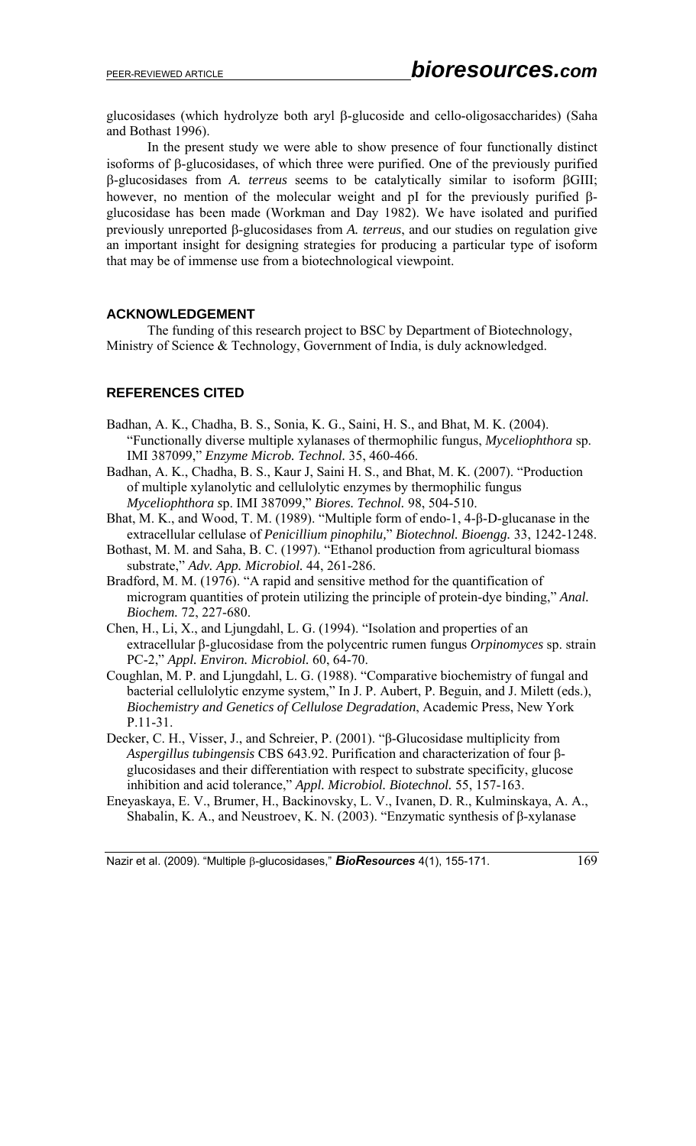glucosidases (which hydrolyze both aryl β-glucoside and cello-oligosaccharides) (Saha and Bothast 1996).

In the present study we were able to show presence of four functionally distinct isoforms of β-glucosidases, of which three were purified. One of the previously purified β-glucosidases from *A. terreus* seems to be catalytically similar to isoform βGIII; however, no mention of the molecular weight and pI for the previously purified βglucosidase has been made (Workman and Day 1982). We have isolated and purified previously unreported β-glucosidases from *A. terreus*, and our studies on regulation give an important insight for designing strategies for producing a particular type of isoform that may be of immense use from a biotechnological viewpoint.

# **ACKNOWLEDGEMENT**

The funding of this research project to BSC by Department of Biotechnology, Ministry of Science & Technology, Government of India, is duly acknowledged.

# **REFERENCES CITED**

- Badhan, A. K., Chadha, B. S., Sonia, K. G., Saini, H. S., and Bhat, M. K. (2004). "Functionally diverse multiple xylanases of thermophilic fungus, *Myceliophthora* sp. IMI 387099," *Enzyme Microb. Technol.* 35, 460-466.
- Badhan, A. K., Chadha, B. S., Kaur J, Saini H. S., and Bhat, M. K. (2007). "Production of multiple xylanolytic and cellulolytic enzymes by thermophilic fungus *Myceliophthora s*p. IMI 387099," *Biores. Technol.* 98, 504-510.
- Bhat, M. K., and Wood, T. M. (1989). "Multiple form of endo-1, 4-β-D-glucanase in the extracellular cellulase of *Penicillium pinophilu,*" *Biotechnol. Bioengg.* 33, 1242-1248.
- Bothast, M. M. and Saha, B. C. (1997). "Ethanol production from agricultural biomass substrate," *Adv. App. Microbiol.* 44, 261-286.
- Bradford, M. M. (1976). "A rapid and sensitive method for the quantification of microgram quantities of protein utilizing the principle of protein-dye binding," *Anal. Biochem.* 72, 227-680.
- Chen, H., Li, X., and Ljungdahl, L. G. (1994). "Isolation and properties of an extracellular β-glucosidase from the polycentric rumen fungus *Orpinomyces* sp. strain PC-2," *Appl. Environ. Microbiol.* 60, 64-70.
- Coughlan, M. P. and Ljungdahl, L. G. (1988). "Comparative biochemistry of fungal and bacterial cellulolytic enzyme system," In J. P. Aubert, P. Beguin, and J. Milett (eds.), *Biochemistry and Genetics of Cellulose Degradation*, Academic Press, New York P.11-31.
- Decker, C. H., Visser, J., and Schreier, P. (2001). "β-Glucosidase multiplicity from *Aspergillus tubingensis* CBS 643.92. Purification and characterization of four βglucosidases and their differentiation with respect to substrate specificity, glucose inhibition and acid tolerance," *Appl. Microbiol. Biotechnol.* 55, 157-163.
- Eneyaskaya, E. V., Brumer, H., Backinovsky, L. V., Ivanen, D. R., Kulminskaya, A. A., Shabalin, K. A., and Neustroev, K. N. (2003). "Enzymatic synthesis of  $\beta$ -xylanase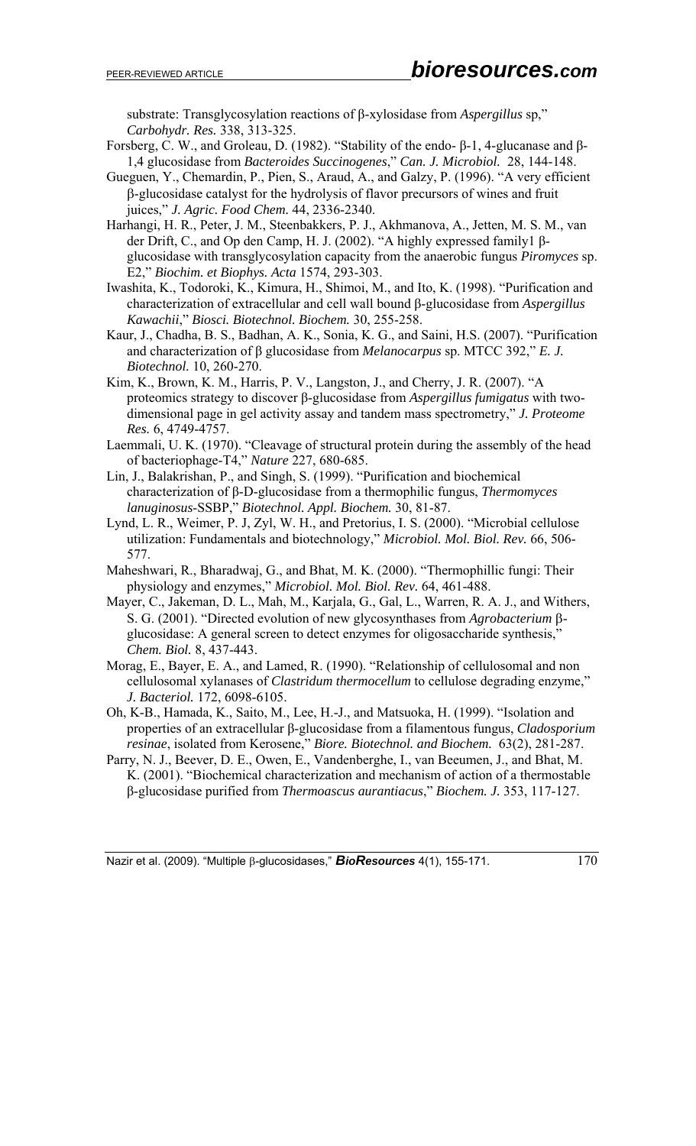substrate: Transglycosylation reactions of β-xylosidase from *Aspergillus* sp," *Carbohydr. Res.* 338, 313-325.

- Forsberg, C. W., and Groleau, D. (1982). "Stability of the endo- β-1, 4-glucanase and β-1,4 glucosidase from *Bacteroides Succinogenes*," *Can. J. Microbiol.* 28, 144-148.
- Gueguen, Y., Chemardin, P., Pien, S., Araud, A., and Galzy, P. (1996). "A very efficient β-glucosidase catalyst for the hydrolysis of flavor precursors of wines and fruit juices," *J. Agric. Food Chem.* 44, 2336-2340.
- Harhangi, H. R., Peter, J. M., Steenbakkers, P. J., Akhmanova, A., Jetten, M. S. M., van der Drift, C., and Op den Camp, H. J. (2002). "A highly expressed family1 βglucosidase with transglycosylation capacity from the anaerobic fungus *Piromyces* sp. E2," *Biochim. et Biophys. Acta* 1574, 293-303.
- Iwashita, K., Todoroki, K., Kimura, H., Shimoi, M., and Ito, K. (1998). "Purification and characterization of extracellular and cell wall bound β-glucosidase from *Aspergillus Kawachii*," *Biosci. Biotechnol. Biochem.* 30, 255-258.
- Kaur, J., Chadha, B. S., Badhan, A. K., Sonia, K. G., and Saini, H.S. (2007). "Purification and characterization of β glucosidase from *Melanocarpus* sp. MTCC 392," *E. J. Biotechnol.* 10, 260-270.
- Kim, K., Brown, K. M., Harris, P. V., Langston, J., and Cherry, J. R. (2007). "A proteomics strategy to discover β-glucosidase from *Aspergillus fumigatus* with twodimensional page in gel activity assay and tandem mass spectrometry," *J. Proteome Res.* 6, 4749-4757.
- Laemmali, U. K. (1970). "Cleavage of structural protein during the assembly of the head of bacteriophage-T4," *Nature* 227, 680-685.
- Lin, J., Balakrishan, P., and Singh, S. (1999). "Purification and biochemical characterization of β-D-glucosidase from a thermophilic fungus, *Thermomyces lanuginosus*-SSBP," *Biotechnol. Appl. Biochem.* 30, 81-87.
- Lynd, L. R., Weimer, P. J, Zyl, W. H., and Pretorius, I. S. (2000). "Microbial cellulose utilization: Fundamentals and biotechnology," *Microbiol. Mol. Biol. Rev.* 66, 506- 577.
- Maheshwari, R., Bharadwaj, G., and Bhat, M. K. (2000). "Thermophillic fungi: Their physiology and enzymes," *Microbiol. Mol. Biol. Rev.* 64, 461-488.
- Mayer, C., Jakeman, D. L., Mah, M., Karjala, G., Gal, L., Warren, R. A. J., and Withers, S. G. (2001). "Directed evolution of new glycosynthases from *Agrobacterium* βglucosidase: A general screen to detect enzymes for oligosaccharide synthesis," *Chem. Biol.* 8, 437-443.
- Morag, E., Bayer, E. A., and Lamed, R. (1990). "Relationship of cellulosomal and non cellulosomal xylanases of *Clastridum thermocellum* to cellulose degrading enzyme," *J. Bacteriol.* 172, 6098-6105.
- Oh, K-B., Hamada, K., Saito, M., Lee, H.-J., and Matsuoka, H. (1999). "Isolation and properties of an extracellular β-glucosidase from a filamentous fungus, *Cladosporium resinae*, isolated from Kerosene," *Biore. Biotechnol. and Biochem.* 63(2), 281-287.
- Parry, N. J., Beever, D. E., Owen, E., Vandenberghe, I., van Beeumen, J., and Bhat, M. K. (2001). "Biochemical characterization and mechanism of action of a thermostable β-glucosidase purified from *Thermoascus aurantiacus*," *Biochem. J.* 353, 117-127.